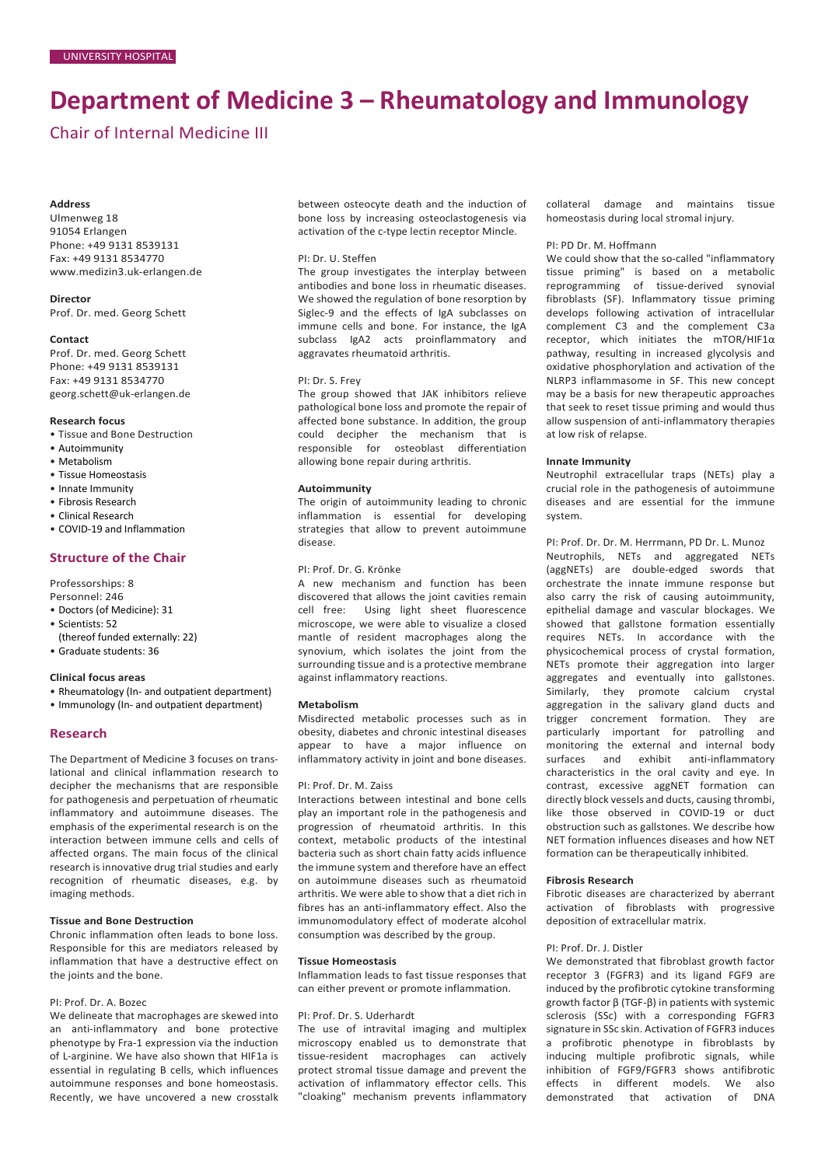# **Department of Medicine 3 – Rheumatology and Immunology**

# Chair of Internal Medicine III

#### **Address**

Ulmenweg 18 91054 Erlangen Phone: +49 9131 8539131 Fax: +49 9131 8534770 [www.medizin3.uk-erlangen.de](http://www.medizin3.uk-erlangen.de/)

**Director**

Prof. Dr. med. Georg Schett

#### **Contact**

Prof. Dr. med. Georg Schett Phone: +49 9131 8539131 Fax: +49 9131 8534770 [georg.schett@uk-erlangen.de](mailto:georg.schett@uk-erlangen.de)

#### **Research focus**

- Tissue and Bone Destruction
- Autoimmunity
- Metabolism
- Tissue Homeostasis
- Innate Immunity
- Fibrosis Research
- Clinical Research
- COVID-19 and Inflammation

# **Structure of the Chair**

- Professorships: 8
- Personnel: 246
- Doctors (of Medicine): 31
- Scientists: 52
- (thereof funded externally: 22)
- Graduate students: 36

#### **Clinical focus areas**

- Rheumatology (In- and outpatient department)
- Immunology (In- and outpatient department)

# **Research**

The Department of Medicine 3 focuses on translational and clinical inflammation research to decipher the mechanisms that are responsible for pathogenesis and perpetuation of rheumatic inflammatory and autoimmune diseases. The emphasis of the experimental research is on the interaction between immune cells and cells of affected organs. The main focus of the clinical research is innovative drug trial studies and early recognition of rheumatic diseases, e.g. by imaging methods.

# **Tissue and Bone Destruction**

Chronic inflammation often leads to bone loss. Responsible for this are mediators released by inflammation that have a destructive effect on the joints and the bone.

# PI: Prof. Dr. A. Bozec

We delineate that macrophages are skewed into an anti-inflammatory and bone protective phenotype by Fra-1 expression via the induction of L-arginine. We have also shown that HIF1a is essential in regulating B cells, which influences autoimmune responses and bone homeostasis. Recently, we have uncovered a new crosstalk

between osteocyte death and the induction of bone loss by increasing osteoclastogenesis via activation of the c-type lectin receptor Mincle.

#### PI: Dr. U. Steffen

The group investigates the interplay between antibodies and bone loss in rheumatic diseases. We showed the regulation of bone resorption by Siglec-9 and the effects of IgA subclasses on immune cells and bone. For instance, the IgA subclass IgA2 acts proinflammatory and aggravates rheumatoid arthritis.

#### PI: Dr. S. Frey

The group showed that JAK inhibitors relieve pathological bone loss and promote the repair of affected bone substance. In addition, the group could decipher the mechanism that is responsible for osteoblast differentiation allowing bone repair during arthritis.

#### **Autoimmunity**

The origin of autoimmunity leading to chronic inflammation is essential for developing strategies that allow to prevent autoimmune disease.

# PI: Prof. Dr. G. Krönke

A new mechanism and function has been discovered that allows the joint cavities remain cell free: Using light sheet fluorescence microscope, we were able to visualize a closed mantle of resident macrophages along the synovium, which isolates the joint from the surrounding tissue and is a protective membrane against inflammatory reactions.

# **Metabolism**

Misdirected metabolic processes such as in obesity, diabetes and chronic intestinal diseases appear to have a major influence on inflammatory activity in joint and bone diseases.

#### PI: Prof. Dr. M. Zaiss

Interactions between intestinal and bone cells play an important role in the pathogenesis and progression of rheumatoid arthritis. In this context, metabolic products of the intestinal bacteria such as short chain fatty acids influence the immune system and therefore have an effect on autoimmune diseases such as rheumatoid arthritis. We were able to show that a diet rich in fibres has an anti-inflammatory effect. Also the immunomodulatory effect of moderate alcohol consumption was described by the group.

#### **Tissue Homeostasis**

Inflammation leads to fast tissue responses that can either prevent or promote inflammation.

#### PI: Prof. Dr. S. Uderhardt

The use of intravital imaging and multiplex microscopy enabled us to demonstrate that tissue-resident macrophages can actively protect stromal tissue damage and prevent the activation of inflammatory effector cells. This "cloaking" mechanism prevents inflammatory

collateral damage and maintains tissue homeostasis during local stromal injury.

# PI: PD Dr. M. Hoffmann

We could show that the so-called "inflammatory tissue priming" is based on a metabolic reprogramming of tissue-derived synovial fibroblasts (SF). Inflammatory tissue priming develops following activation of intracellular complement C3 and the complement C3a receptor, which initiates the mTOR/HIF1α pathway, resulting in increased glycolysis and oxidative phosphorylation and activation of the NLRP3 inflammasome in SF. This new concept may be a basis for new therapeutic approaches that seek to reset tissue priming and would thus allow suspension of anti-inflammatory therapies at low risk of relapse.

#### **Innate Immunity**

Neutrophil extracellular traps (NETs) play a crucial role in the pathogenesis of autoimmune diseases and are essential for the immune system.

PI: Prof. Dr. Dr. M. Herrmann, PD Dr. L. Munoz Neutrophils, NETs and aggregated NETs (aggNETs) are double-edged swords that orchestrate the innate immune response but also carry the risk of causing autoimmunity, epithelial damage and vascular blockages. We showed that gallstone formation essentially requires NETs. In accordance with the physicochemical process of crystal formation, NETs promote their aggregation into larger aggregates and eventually into gallstones. Similarly, they promote calcium crystal aggregation in the salivary gland ducts and trigger concrement formation. They are particularly important for patrolling and monitoring the external and internal body surfaces and exhibit anti-inflammatory characteristics in the oral cavity and eye. In contrast, excessive aggNET formation can directly block vessels and ducts, causing thrombi, like those observed in COVID-19 or duct obstruction such as gallstones. We describe how NET formation influences diseases and how NET formation can be therapeutically inhibited.

#### **Fibrosis Research**

Fibrotic diseases are characterized by aberrant activation of fibroblasts with progressive deposition of extracellular matrix.

#### PI: Prof. Dr. J. Distler

We demonstrated that fibroblast growth factor receptor 3 (FGFR3) and its ligand FGF9 are induced by the profibrotic cytokine transforming growth factor β (TGF-β) in patients with systemic sclerosis (SSc) with a corresponding FGFR3 signature in SSc skin. Activation of FGFR3 induces a profibrotic phenotype in fibroblasts by inducing multiple profibrotic signals, while inhibition of FGF9/FGFR3 shows antifibrotic effects in different models. We also<br>demonstrated that activation of DNA demonstrated that activation of